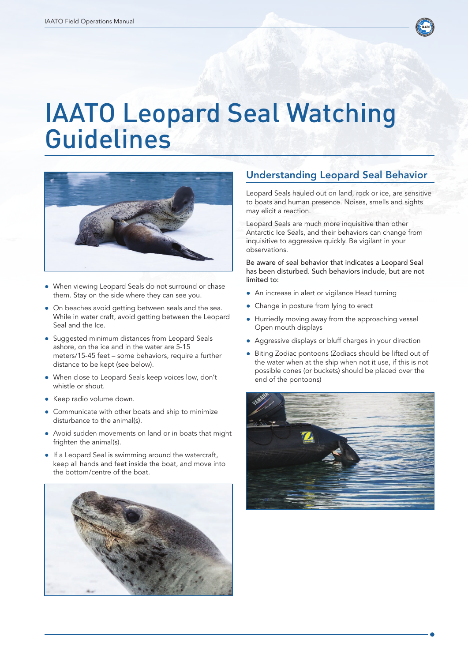

## IAATO Leopard Seal Watching Guidelines



- When viewing Leopard Seals do not surround or chase them. Stay on the side where they can see you.
- On beaches avoid getting between seals and the sea. While in water craft, avoid getting between the Leopard Seal and the Ice.
- Suggested minimum distances from Leopard Seals ashore, on the ice and in the water are 5-15 meters/15-45 feet – some behaviors, require a further distance to be kept (see below).
- When close to Leopard Seals keep voices low, don't whistle or shout.
- Keep radio volume down.
- Communicate with other boats and ship to minimize disturbance to the animal(s).
- Avoid sudden movements on land or in boats that might frighten the animal(s).
- If a Leopard Seal is swimming around the watercraft, keep all hands and feet inside the boat, and move into the bottom/centre of the boat.



## Understanding Leopard Seal Behavior

Leopard Seals hauled out on land, rock or ice, are sensitive to boats and human presence. Noises, smells and sights may elicit a reaction.

Leopard Seals are much more inquisitive than other Antarctic Ice Seals, and their behaviors can change from inquisitive to aggressive quickly. Be vigilant in your observations.

Be aware of seal behavior that indicates a Leopard Seal has been disturbed. Such behaviors include, but are not limited to:

- An increase in alert or vigilance Head turning
- Change in posture from lying to erect
- Hurriedly moving away from the approaching vessel Open mouth displays
- Aggressive displays or bluff charges in your direction
- Biting Zodiac pontoons (Zodiacs should be lifted out of the water when at the ship when not it use, if this is not possible cones (or buckets) should be placed over the end of the pontoons)